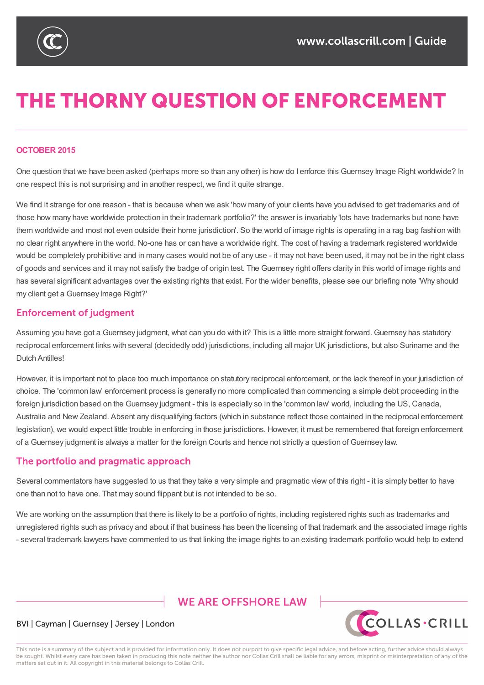

# **THE THORNY QUESTION OF ENFORCEMENT**

#### **OCTOBER 2015**

One question that we have been asked (perhaps more so than any other) is how do I enforce this Guernsey Image Right worldwide? In one respect this is not surprising and in another respect, we find it quite strange.

We find it strange for one reason - that is because when we ask 'how many of your clients have you advised to get trademarks and of those how many have worldwide protection in their trademark portfolio?' the answer is invariably 'lots have trademarks but none have them worldwide and most not even outside their home jurisdiction'. So the world of image rights is operating in a rag bag fashion with no clear right anywhere in the world. No-one has or can have a worldwide right. The cost of having a trademark registered worldwide would be completely prohibitive and in many cases would not be of any use - it may not have been used, it may not be in the right class of goods and services and it may not satisfy the badge of origin test. The Guernsey right offers clarity in this world of image rights and has several significant advantages over the existing rights that exist. For the wider benefits, please see our briefing note 'Why should my client get a Guernsey Image Right?'

### **Enforcement of judgment**

Assuming you have got a Guernsey judgment, what can you do with it? This is a little more straight forward. Guernsey has statutory reciprocal enforcement links with several (decidedly odd) jurisdictions, including all major UK jurisdictions, but also Suriname and the Dutch Antilles!

However, it is important not to place too much importance on statutory reciprocal enforcement, or the lack thereof in your jurisdiction of choice. The 'common law' enforcement process is generally no more complicated than commencing a simple debt proceeding in the foreign jurisdiction based on the Guernsey judgment - this is especially so in the 'common law' world, including the US, Canada, Australia and New Zealand. Absent any disqualifying factors (which in substance reflect those contained in the reciprocal enforcement legislation), we would expect little trouble in enforcing in those jurisdictions. However, it must be remembered that foreign enforcement of a Guernsey judgment is always a matter for the foreign Courts and hence not strictly a question of Guernsey law.

### The portfolio and pragmatic approach

Several commentators have suggested to us that they take a very simple and pragmatic view of this right - it is simply better to have one than not to have one. That may sound flippant but is not intended to be so.

We are working on the assumption that there is likely to be a portfolio of rights, including registered rights such as trademarks and unregistered rights such as privacy and about if that business has been the licensing of that trademark and the associated image rights - several trademark lawyers have commented to us that linking the image rights to an existing trademark portfolio would help to extend

## **WE ARE OFFSHORE I AW**



### BVI | Cayman | Guernsey | Jersey | London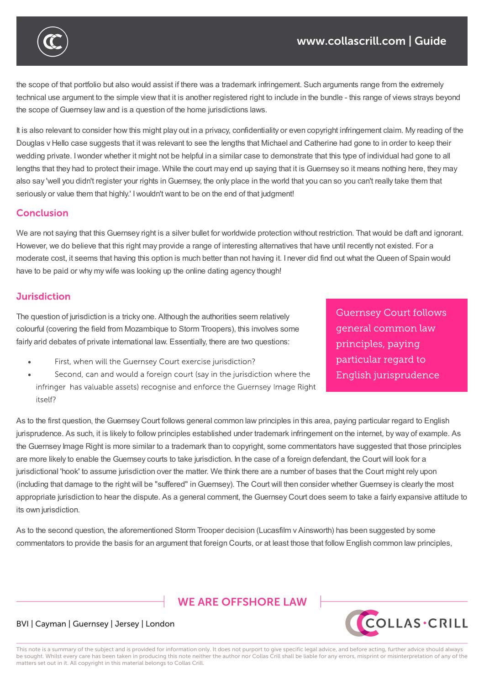

the scope of that portfolio but also would assist if there was a trademark infringement. Such arguments range from the extremely technical use argument to the simple view that it is another registered right to include in the bundle - this range of views strays beyond the scope of Guernsey law and is a question of the home jurisdictions laws.

It is also relevant to consider how this might play out in a privacy, confidentiality or even copyright infringement claim. My reading of the Douglas y Hello case suggests that it was relevant to see the lengths that Michael and Catherine had gone to in order to keep their wedding private. Iwonder whether it might not be helpful in a similar case to demonstrate that this type of individual had gone to all lengths that they had to protect their image. While the court may end up saying that it is Guernsey so it means nothing here, they may also say 'well you didn't register your rights inGuernsey, the only place in the world that you can so you can't really take them that seriously or value them that highly.' Iwouldn't want to be on the end of that judgment!

### **Conclusion**

We are not saying that this Guernsey right is a silver bullet for worldwide protection without restriction. That would be daft and ignorant. However, we do believe that this right may provide a range of interesting alternatives that have until recently not existed. For a moderate cost, it seems that having this option is much better than not having it. I never did find out what the Queen of Spain would have to be paid or why my wife was looking up the online dating agency though!

### **Jurisdiction**

The question of jurisdiction is a tricky one. Although the authorities seem relatively colourful (covering the field from Mozambique to Storm Troopers), this involves some fairly arid debates of private international law. Essentially, there are two questions:

one than not to have one. That may sound flippant but is not intended to be so.

- First, when will the Guernsey Court exercise jurisdiction?
- Second, can and would a foreign court (say in the jurisdiction where the infringer has valuable assets) recognise and enforce the Guernsey Image Right itself?

**Guernsey Court follows** general common law principles, paying particular regard to English jurisprudence

As to the first question, the Guernsey Court follows general common law principles in this area, paying particular regard to English jurisprudence. As such, it is likely to follow principles established under trademark infringement on the internet, by way of example. As the Guernsey Image Right is more similar to a trademark than to copyright, some commentators have suggested that those principles are more likely to enable the Guernsey courts to take jurisdiction. In the case of a foreign defendant, the Court will look for a jurisdictional 'hook' to assume jurisdiction over the matter. We think there are a number of bases that the Court might rely upon (including that damage to the right will be "suffered" inGuernsey). The Court will then consider whether Guernsey is clearly the most appropriate jurisdiction to hear the dispute. As a general comment, the Guernsey Court does seem to take a fairly expansive attitude to its own jurisdiction.

As to the second question, the aforementioned Storm Trooper decision (Lucasfilm v Ainsworth) has been suggested by some commentators to provide the basis for an argument that foreign Courts, or at least those that follow English common law principles,

# **WE ARE OFFSHORE I AW**



### BVI | Cayman | Guernsey | Jersey | London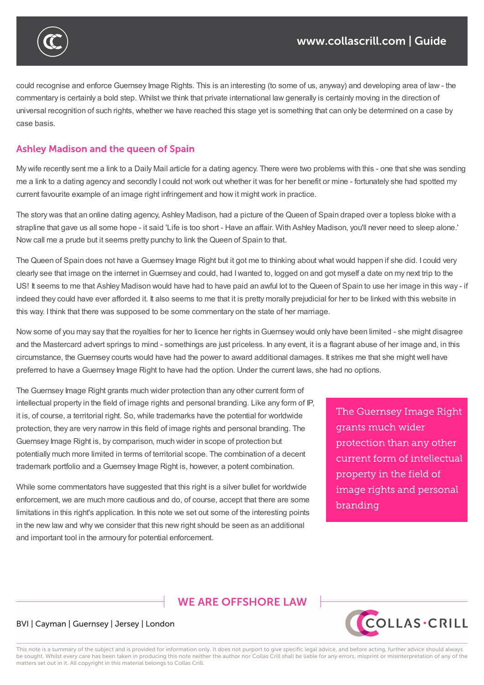could recognise and enforce Guernsey Image Rights. This is an interesting (to some of us, anyway) and developing area of law - the commentary is certainly a bold step. Whilst we think that private international law generally is certainly moving in the direction of universal recognition of such rights, whether we have reached this stage yet is something that can only be determined on a case by case basis.

As to the second question, the aforemention  $\mathcal{L}$  is a suggested by some suggested by some suggested by some commentators to provide the basis for an argument that foreign Courts, or at least those that follow English common law principles,

appropriate jurisdiction to hear the dispute. As a general comment, the Guernsey Court does seem to take a fairly expansive attitude to

### **Ashley Madison and the queen of Spain**

 $\sqrt{a}$ 

My wife recently sent me a link to a Daily Mail article for a dating agency. There were two problems with this - one that she was sending me a link to a dating agency and secondly I could not work out whether it was for her benefit or mine - fortunately she had spotted my current favourite example of an image right infringement and how it might work in practice.

The story was that an online dating agency, Ashley Madison, had a picture of the Queen of Spain draped over a topless bloke with a strapline that gave us all some hope - it said 'Life is too short - Have an affair. With Ashley Madison, you'll never need to sleep alone.' Now call me a prude but it seems pretty punchy to link the Queen of Spain to that.

The Queen of Spain does not have a Guernsey Image Right but it got me to thinking about what would happen if she did. I could very clearly see that image on the internet inGuernsey and could, had Iwanted to, logged on and got myself a date on my next trip to the US! It seems to me that Ashley Madison would have had to have paid an awful lot to the Queen of Spain to use her image in this way - if indeed they could have ever afforded it. It also seems to me that it is pretty morally prejudicial for her to be linked with this website in this way. I think that there was supposed to be some commentary on the state of her marriage.

Now some of you may say that the royalties for her to licence her rights in Guernsey would only have been limited - she might disagree and the Mastercard advert springs to mind - somethings are just priceless. In any event, it is a flagrant abuse of her image and, in this circumstance, the Guernsey courts would have had the power to award additional damages. It strikes me that she might well have preferred to have a Guernsey Image Right to have had the option. Under the current laws, she had no options.

The Guernsey Image Right grants much wider protection than any other current form of intellectual property in the field of image rights and personal branding. Like any form of IP, it is, of course, a territorial right. So, while trademarks have the potential for worldwide protection, they are very narrow in this field of image rights and personal branding. The Guernsey Image Right is, by comparison, much wider in scope of protection but potentially much more limited in terms of territorial scope. The combination of a decent trademark portfolio and a Guernsey Image Right is, however, a potent combination.

While some commentators have suggested that this right is a silver bullet for worldwide enforcement, we are much more cautious and do, of course, accept that there are some limitations in this right's application. In this note we set out some of the interesting points in the new law and why we consider that this new right should be seen as an additional and important tool in the armoury for potential enforcement.

The Guernsey Image Right grants much wider protection than any other current form of intellectual property in the field of image rights and personal branding

# **WE ARE OFFSHORE LAW**



### BVI | Cayman | Guernsey | Jersey | London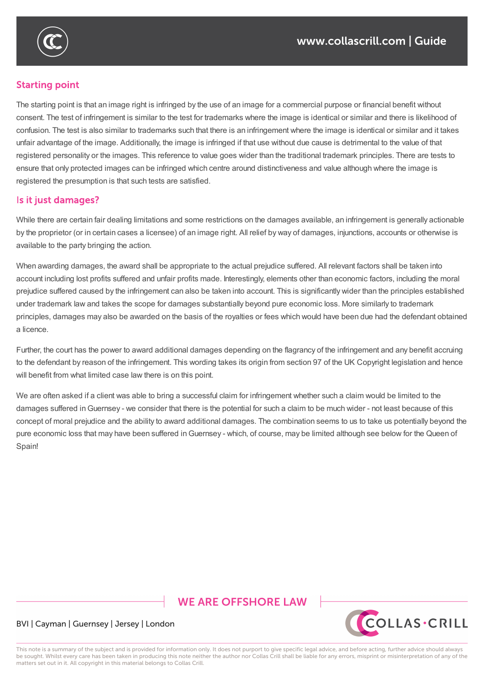

### **Starting point**

The starting point is that an image right is infringed by the use of an image for a commercial purpose or financial benefit without consent. The test of infringement is similar to the test for trademarks where the image is identical or similar and there is likelihood of confusion. The test is also similar to trademarks such that there is an infringement where the image is identical or similar and it takes unfair advantage of the image. Additionally, the image is infringed if that use without due cause is detrimental to the value of that registered personality or the images. This reference to value goes wider than the traditional trademark principles. There are tests to ensure that only protected images can be infringed which centre around distinctiveness and value although where the image is registered the presumption is that such tests are satisfied.

enforcement, we are much more cautious and do, of course, accept that there are some

### Is it just damages?

While there are certain fair dealing limitations and some restrictions on the damages available, an infringement is generally actionable by the proprietor (or in certain cases a licensee) of an image right. All relief by way of damages, injunctions, accounts or otherwise is available to the party bringing the action.

When awarding damages, the award shall be appropriate to the actual prejudice suffered. All relevant factors shall be taken into account including lost profits suffered and unfair profits made. Interestingly, elements other than economic factors, including the moral prejudice suffered caused by the infringement can also be taken into account. This is significantly wider than the principles established under trademark law and takes the scope for damages substantially beyond pure economic loss. More similarly to trademark principles, damages may also be awarded on the basis of the royalties or fees which would have been due had the defendant obtained a licence.

Further, the court has the power to award additional damages depending on the flagrancy of the infringement and any benefit accruing to the defendant by reason of the infringement. This wording takes its origin from section 97 of the UK Copyright legislation and hence will benefit from what limited case law there is on this point.

We are often asked if a client was able to bring a successful claim for infringement whether such a claim would be limited to the damages suffered inGuernsey - we consider that there is the potential for such a claim to be much wider - not least because of this concept of moral prejudice and the ability to award additional damages. The combination seems to us to take us potentially beyond the pure economic loss that may have been suffered in Guernsey - which, of course, may be limited although see below for the Queen of Spain!

# **WE ARE OFFSHORE LAW**



### BVI | Cayman | Guernsey | Jersey | London